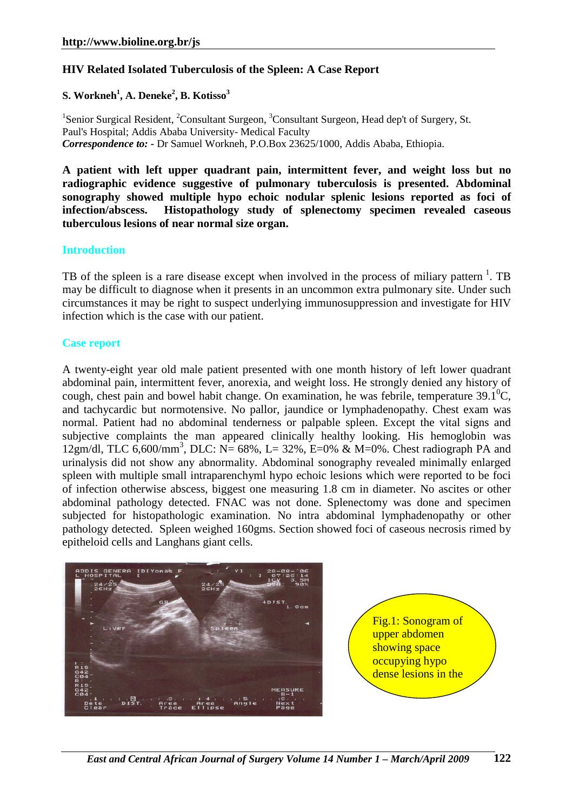# **HIV Related Isolated Tuberculosis of the Spleen: A Case Report**

## **S. Workneh<sup>1</sup> , A. Deneke<sup>2</sup> , B. Kotisso<sup>3</sup>**

<sup>1</sup>Senior Surgical Resident, <sup>2</sup>Consultant Surgeon, <sup>3</sup>Consultant Surgeon, Head dep't of Surgery, St. Paul's Hospital; Addis Ababa University- Medical Faculty *Correspondence to: -* Dr Samuel Workneh, P.O.Box 23625/1000, Addis Ababa, Ethiopia.

**A patient with left upper quadrant pain, intermittent fever, and weight loss but no radiographic evidence suggestive of pulmonary tuberculosis is presented. Abdominal sonography showed multiple hypo echoic nodular splenic lesions reported as foci of infection/abscess. Histopathology study of splenectomy specimen revealed caseous tuberculous lesions of near normal size organ.** 

#### **Introduction**

TB of the spleen is a rare disease except when involved in the process of miliary pattern<sup>1</sup>. TB may be difficult to diagnose when it presents in an uncommon extra pulmonary site. Under such circumstances it may be right to suspect underlying immunosuppression and investigate for HIV infection which is the case with our patient.

### **Case report**

A twenty-eight year old male patient presented with one month history of left lower quadrant abdominal pain, intermittent fever, anorexia, and weight loss. He strongly denied any history of cough, chest pain and bowel habit change. On examination, he was febrile, temperature  $39.1^{\circ}$ C, and tachycardic but normotensive. No pallor, jaundice or lymphadenopathy. Chest exam was normal. Patient had no abdominal tenderness or palpable spleen. Except the vital signs and subjective complaints the man appeared clinically healthy looking. His hemoglobin was 12gm/dl, TLC 6,600/mm<sup>3</sup>, DLC: N= 68%, L= 32%, E=0% & M=0%. Chest radiograph PA and urinalysis did not show any abnormality. Abdominal sonography revealed minimally enlarged spleen with multiple small intraparenchyml hypo echoic lesions which were reported to be foci of infection otherwise abscess, biggest one measuring 1.8 cm in diameter. No ascites or other abdominal pathology detected. FNAC was not done. Splenectomy was done and specimen subjected for histopathologic examination. No intra abdominal lymphadenopathy or other pathology detected. Spleen weighed 160gms. Section showed foci of caseous necrosis rimed by epitheloid cells and Langhans giant cells.